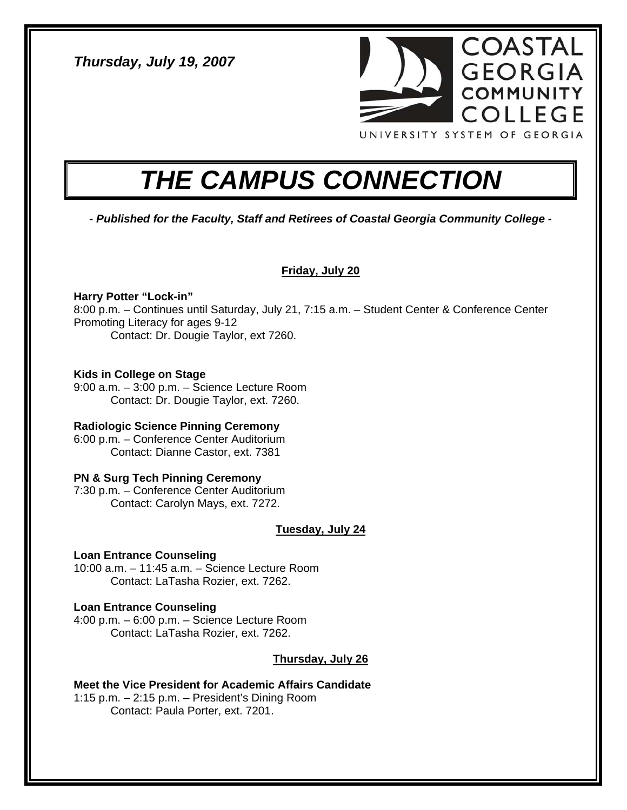*Thursday, July 19, 2007* 



# *THE CAMPUS CONNECTION*

*- Published for the Faculty, Staff and Retirees of Coastal Georgia Community College -* 

# **Friday, July 20**

# **Harry Potter "Lock-in"**

8:00 p.m. – Continues until Saturday, July 21, 7:15 a.m. – Student Center & Conference Center Promoting Literacy for ages 9-12 Contact: Dr. Dougie Taylor, ext 7260.

#### **Kids in College on Stage**

9:00 a.m. – 3:00 p.m. – Science Lecture Room Contact: Dr. Dougie Taylor, ext. 7260.

# **Radiologic Science Pinning Ceremony**

6:00 p.m. – Conference Center Auditorium Contact: Dianne Castor, ext. 7381

# **PN & Surg Tech Pinning Ceremony**

7:30 p.m. – Conference Center Auditorium Contact: Carolyn Mays, ext. 7272.

# **Tuesday, July 24**

#### **Loan Entrance Counseling**

10:00 a.m. – 11:45 a.m. – Science Lecture Room Contact: LaTasha Rozier, ext. 7262.

#### **Loan Entrance Counseling**

4:00 p.m. – 6:00 p.m. – Science Lecture Room Contact: LaTasha Rozier, ext. 7262.

# **Thursday, July 26**

**Meet the Vice President for Academic Affairs Candidate**  1:15 p.m. – 2:15 p.m. – President's Dining Room Contact: Paula Porter, ext. 7201.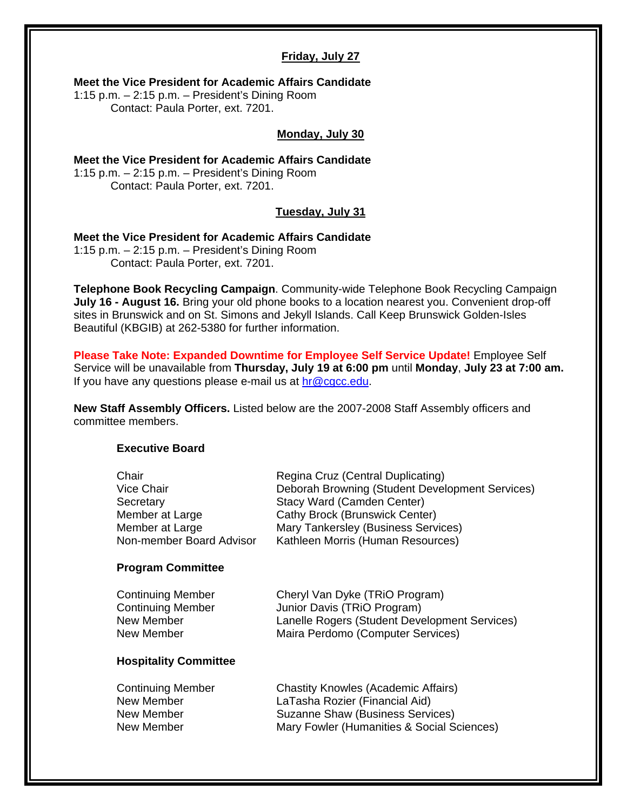#### **Friday, July 27**

**Meet the Vice President for Academic Affairs Candidate** 

1:15 p.m. – 2:15 p.m. – President's Dining Room Contact: Paula Porter, ext. 7201.

#### **Monday, July 30**

**Meet the Vice President for Academic Affairs Candidate**  1:15 p.m. – 2:15 p.m. – President's Dining Room Contact: Paula Porter, ext. 7201.

#### **Tuesday, July 31**

**Meet the Vice President for Academic Affairs Candidate**  1:15 p.m. – 2:15 p.m. – President's Dining Room Contact: Paula Porter, ext. 7201.

**Telephone Book Recycling Campaign**. Community-wide Telephone Book Recycling Campaign **July 16 - August 16.** Bring your old phone books to a location nearest you. Convenient drop-off sites in Brunswick and on St. Simons and Jekyll Islands. Call Keep Brunswick Golden-Isles Beautiful (KBGIB) at 262-5380 for further information.

**Please Take Note: Expanded Downtime for Employee Self Service Update!** Employee Self Service will be unavailable from **Thursday, July 19 at 6:00 pm** until **Monday**, **July 23 at 7:00 am.** If you have any questions please e-mail us at  $hr@cgc.edu$ .

**New Staff Assembly Officers.** Listed below are the 2007-2008 Staff Assembly officers and committee members.

#### **Executive Board**

| Chair                        | Regina Cruz (Central Duplicating)               |
|------------------------------|-------------------------------------------------|
| Vice Chair                   | Deborah Browning (Student Development Services) |
| Secretary                    | Stacy Ward (Camden Center)                      |
| Member at Large              | <b>Cathy Brock (Brunswick Center)</b>           |
| Member at Large              | Mary Tankersley (Business Services)             |
| Non-member Board Advisor     | Kathleen Morris (Human Resources)               |
| <b>Program Committee</b>     |                                                 |
| <b>Continuing Member</b>     | Cheryl Van Dyke (TRIO Program)                  |
| <b>Continuing Member</b>     | Junior Davis (TRIO Program)                     |
| New Member                   | Lanelle Rogers (Student Development Services)   |
| New Member                   | Maira Perdomo (Computer Services)               |
| <b>Hospitality Committee</b> |                                                 |
| <b>Continuing Member</b>     | <b>Chastity Knowles (Academic Affairs)</b>      |
| New Member                   | LaTasha Rozier (Financial Aid)                  |
| New Member                   | Suzanne Shaw (Business Services)                |
| New Member                   | Mary Fowler (Humanities & Social Sciences)      |